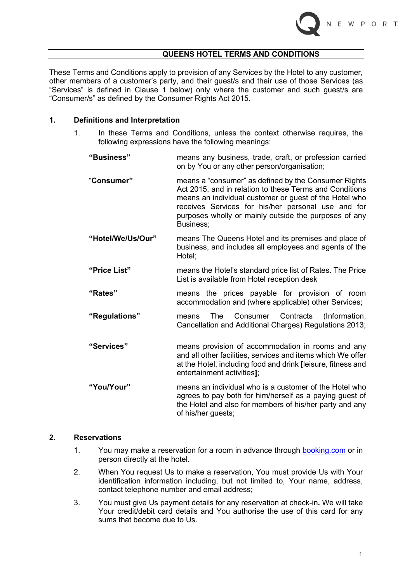# W P O R T

#### **QUEENS HOTEL TERMS AND CONDITIONS**

These Terms and Conditions apply to provision of any Services by the Hotel to any customer, other members of a customer's party, and their guest/s and their use of those Services (as "Services" is defined in Clause 1 below) only where the customer and such guest/s are "Consumer/s" as defined by the Consumer Rights Act 2015.

#### **1. Definitions and Interpretation**

- 1. In these Terms and Conditions, unless the context otherwise requires, the following expressions have the following meanings:
	- **"Business"** means any business, trade, craft, or profession carried on by You or any other person/organisation; "**Consumer"** means a "consumer" as defined by the Consumer Rights Act 2015, and in relation to these Terms and Conditions means an individual customer or guest of the Hotel who receives Services for his/her personal use and for purposes wholly or mainly outside the purposes of any Business;
	- **"Hotel/We/Us/Our"** means The Queens Hotel and its premises and place of business, and includes all employees and agents of the Hotel;
	- **"Price List"** means the Hotel's standard price list of Rates. The Price List is available from Hotel reception desk
	- **"Rates"** means the prices payable for provision of room accommodation and (where applicable) other Services;
	- **"Regulations"** means The Consumer Contracts (Information, Cancellation and Additional Charges) Regulations 2013;
	- **"Services"** means provision of accommodation in rooms and any and all other facilities, services and items which We offer at the Hotel, including food and drink **[**leisure, fitness and entertainment activities**]**;
	- **"You/Your"** means an individual who is a customer of the Hotel who agrees to pay both for him/herself as a paying guest of the Hotel and also for members of his/her party and any of his/her guests;

### **2. Reservations**

- 1. You may make a reservation for a room in advance through booking.com or in person directly at the hotel.
- 2. When You request Us to make a reservation, You must provide Us with Your identification information including, but not limited to, Your name, address, contact telephone number and email address;
- 3. You must give Us payment details for any reservation at check-in**.** We will take Your credit/debit card details and You authorise the use of this card for any sums that become due to Us.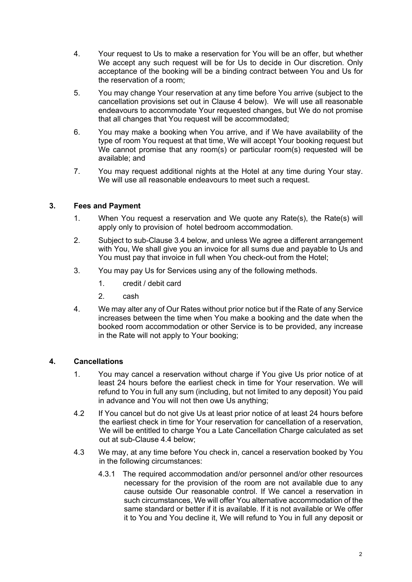- 4. Your request to Us to make a reservation for You will be an offer, but whether We accept any such request will be for Us to decide in Our discretion. Only acceptance of the booking will be a binding contract between You and Us for the reservation of a room;
- 5. You may change Your reservation at any time before You arrive (subject to the cancellation provisions set out in Clause 4 below). We will use all reasonable endeavours to accommodate Your requested changes, but We do not promise that all changes that You request will be accommodated;
- 6. You may make a booking when You arrive, and if We have availability of the type of room You request at that time, We will accept Your booking request but We cannot promise that any room(s) or particular room(s) requested will be available; and
- 7. You may request additional nights at the Hotel at any time during Your stay. We will use all reasonable endeavours to meet such a request.

# **3. Fees and Payment**

- 1. When You request a reservation and We quote any Rate(s), the Rate(s) will apply only to provision of hotel bedroom accommodation.
- 2. Subject to sub-Clause 3.4 below, and unless We agree a different arrangement with You, We shall give you an invoice for all sums due and payable to Us and You must pay that invoice in full when You check-out from the Hotel;
- 3. You may pay Us for Services using any of the following methods.
	- 1. credit / debit card
	- 2. cash
- 4. We may alter any of Our Rates without prior notice but if the Rate of any Service increases between the time when You make a booking and the date when the booked room accommodation or other Service is to be provided, any increase in the Rate will not apply to Your booking;

## **4. Cancellations**

- 1. You may cancel a reservation without charge if You give Us prior notice of at least 24 hours before the earliest check in time for Your reservation. We will refund to You in full any sum (including, but not limited to any deposit) You paid in advance and You will not then owe Us anything;
- 4.2 If You cancel but do not give Us at least prior notice of at least 24 hours before the earliest check in time for Your reservation for cancellation of a reservation, We will be entitled to charge You a Late Cancellation Charge calculated as set out at sub-Clause 4.4 below;
- 4.3 We may, at any time before You check in, cancel a reservation booked by You in the following circumstances:
	- 4.3.1 The required accommodation and/or personnel and/or other resources necessary for the provision of the room are not available due to any cause outside Our reasonable control. If We cancel a reservation in such circumstances, We will offer You alternative accommodation of the same standard or better if it is available. If it is not available or We offer it to You and You decline it, We will refund to You in full any deposit or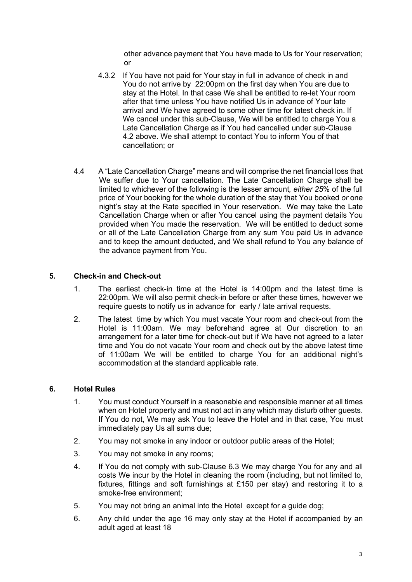other advance payment that You have made to Us for Your reservation; or

- 4.3.2 If You have not paid for Your stay in full in advance of check in and You do not arrive by 22:00pm on the first day when You are due to stay at the Hotel. In that case We shall be entitled to re-let Your room after that time unless You have notified Us in advance of Your late arrival and We have agreed to some other time for latest check in. If We cancel under this sub-Clause, We will be entitled to charge You a Late Cancellation Charge as if You had cancelled under sub-Clause 4.2 above. We shall attempt to contact You to inform You of that cancellation; or
- 4.4 A "Late Cancellation Charge" means and will comprise the net financial loss that We suffer due to Your cancellation. The Late Cancellation Charge shall be limited to whichever of the following is the lesser amount*, either 25*% of the full price of Your booking for the whole duration of the stay that You booked *or* one night's stay at the Rate specified in Your reservation. We may take the Late Cancellation Charge when or after You cancel using the payment details You provided when You made the reservation. We will be entitled to deduct some or all of the Late Cancellation Charge from any sum You paid Us in advance and to keep the amount deducted, and We shall refund to You any balance of the advance payment from You.

# **5. Check-in and Check-out**

- 1. The earliest check-in time at the Hotel is 14:00pm and the latest time is 22:00pm. We will also permit check-in before or after these times, however we require guests to notify us in advance for early / late arrival requests.
- 2. The latest time by which You must vacate Your room and check-out from the Hotel is 11:00am. We may beforehand agree at Our discretion to an arrangement for a later time for check-out but if We have not agreed to a later time and You do not vacate Your room and check out by the above latest time of 11:00am We will be entitled to charge You for an additional night's accommodation at the standard applicable rate.

## **6. Hotel Rules**

- 1. You must conduct Yourself in a reasonable and responsible manner at all times when on Hotel property and must not act in any which may disturb other guests. If You do not, We may ask You to leave the Hotel and in that case, You must immediately pay Us all sums due;
- 2. You may not smoke in any indoor or outdoor public areas of the Hotel;
- 3. You may not smoke in any rooms;
- 4. If You do not comply with sub-Clause 6.3 We may charge You for any and all costs We incur by the Hotel in cleaning the room (including, but not limited to, fixtures, fittings and soft furnishings at £150 per stay) and restoring it to a smoke-free environment;
- 5. You may not bring an animal into the Hotel except for a guide dog;
- 6. Any child under the age 16 may only stay at the Hotel if accompanied by an adult aged at least 18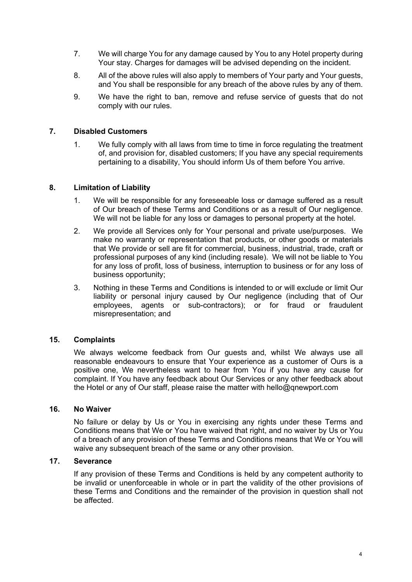- 7. We will charge You for any damage caused by You to any Hotel property during Your stay. Charges for damages will be advised depending on the incident.
- 8. All of the above rules will also apply to members of Your party and Your guests, and You shall be responsible for any breach of the above rules by any of them.
- 9. We have the right to ban, remove and refuse service of guests that do not comply with our rules.

### **7. Disabled Customers**

1. We fully comply with all laws from time to time in force regulating the treatment of, and provision for, disabled customers; If you have any special requirements pertaining to a disability, You should inform Us of them before You arrive.

#### **8. Limitation of Liability**

- 1. We will be responsible for any foreseeable loss or damage suffered as a result of Our breach of these Terms and Conditions or as a result of Our negligence. We will not be liable for any loss or damages to personal property at the hotel.
- 2. We provide all Services only for Your personal and private use/purposes. We make no warranty or representation that products, or other goods or materials that We provide or sell are fit for commercial, business, industrial, trade, craft or professional purposes of any kind (including resale). We will not be liable to You for any loss of profit, loss of business, interruption to business or for any loss of business opportunity;
- 3. Nothing in these Terms and Conditions is intended to or will exclude or limit Our liability or personal injury caused by Our negligence (including that of Our employees, agents or sub-contractors); or for fraud or fraudulent misrepresentation; and

#### **15. Complaints**

We always welcome feedback from Our quests and, whilst We always use all reasonable endeavours to ensure that Your experience as a customer of Ours is a positive one, We nevertheless want to hear from You if you have any cause for complaint. If You have any feedback about Our Services or any other feedback about the Hotel or any of Our staff, please raise the matter with hello@qnewport.com

#### **16. No Waiver**

No failure or delay by Us or You in exercising any rights under these Terms and Conditions means that We or You have waived that right, and no waiver by Us or You of a breach of any provision of these Terms and Conditions means that We or You will waive any subsequent breach of the same or any other provision.

# **17. Severance**

If any provision of these Terms and Conditions is held by any competent authority to be invalid or unenforceable in whole or in part the validity of the other provisions of these Terms and Conditions and the remainder of the provision in question shall not be affected.